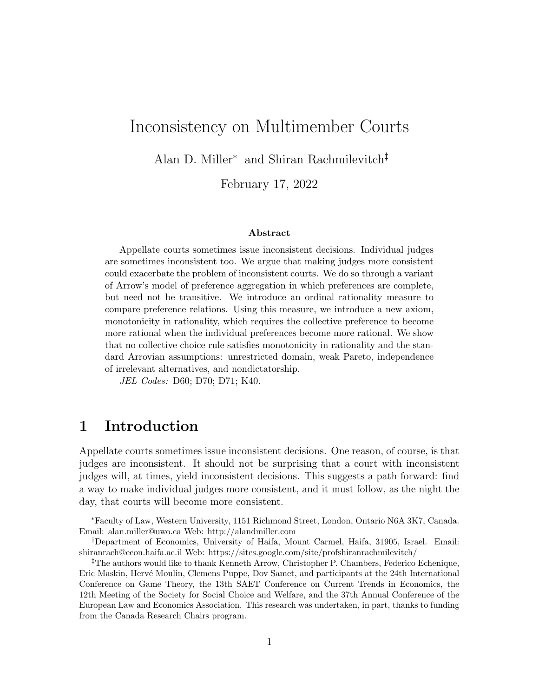# Inconsistency on Multimember Courts

Alan D. Miller<sup>∗</sup> and Shiran Rachmilevitch†‡

February 17, 2022

#### Abstract

Appellate courts sometimes issue inconsistent decisions. Individual judges are sometimes inconsistent too. We argue that making judges more consistent could exacerbate the problem of inconsistent courts. We do so through a variant of Arrow's model of preference aggregation in which preferences are complete, but need not be transitive. We introduce an ordinal rationality measure to compare preference relations. Using this measure, we introduce a new axiom, monotonicity in rationality, which requires the collective preference to become more rational when the individual preferences become more rational. We show that no collective choice rule satisfies monotonicity in rationality and the standard Arrovian assumptions: unrestricted domain, weak Pareto, independence of irrelevant alternatives, and nondictatorship.

JEL Codes: D60; D70; D71; K40.

### 1 Introduction

Appellate courts sometimes issue inconsistent decisions. One reason, of course, is that judges are inconsistent. It should not be surprising that a court with inconsistent judges will, at times, yield inconsistent decisions. This suggests a path forward: find a way to make individual judges more consistent, and it must follow, as the night the day, that courts will become more consistent.

<sup>∗</sup>Faculty of Law, Western University, 1151 Richmond Street, London, Ontario N6A 3K7, Canada. Email: alan.miller@uwo.ca Web: http://alandmiller.com

<sup>†</sup>Department of Economics, University of Haifa, Mount Carmel, Haifa, 31905, Israel. Email: shiranrach@econ.haifa.ac.il Web: https://sites.google.com/site/profshiranrachmilevitch/

<sup>‡</sup>The authors would like to thank Kenneth Arrow, Christopher P. Chambers, Federico Echenique, Eric Maskin, Hervé Moulin, Clemens Puppe, Dov Samet, and participants at the 24th International Conference on Game Theory, the 13th SAET Conference on Current Trends in Economics, the 12th Meeting of the Society for Social Choice and Welfare, and the 37th Annual Conference of the European Law and Economics Association. This research was undertaken, in part, thanks to funding from the Canada Research Chairs program.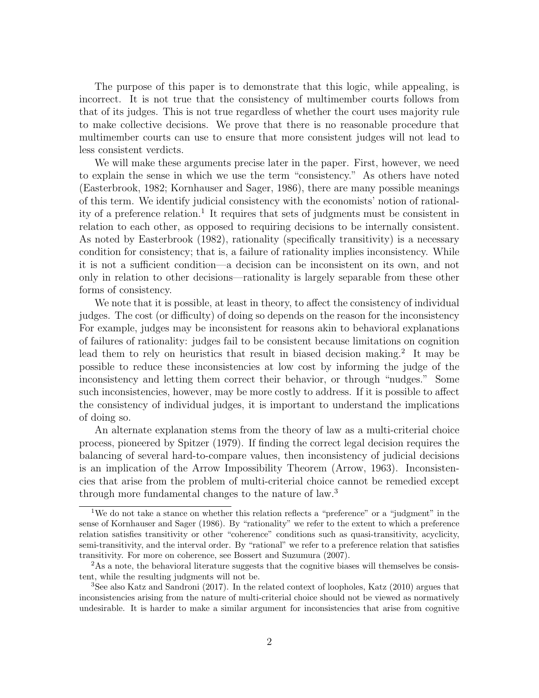The purpose of this paper is to demonstrate that this logic, while appealing, is incorrect. It is not true that the consistency of multimember courts follows from that of its judges. This is not true regardless of whether the court uses majority rule to make collective decisions. We prove that there is no reasonable procedure that multimember courts can use to ensure that more consistent judges will not lead to less consistent verdicts.

We will make these arguments precise later in the paper. First, however, we need to explain the sense in which we use the term "consistency." As others have noted (Easterbrook, 1982; Kornhauser and Sager, 1986), there are many possible meanings of this term. We identify judicial consistency with the economists' notion of rationality of a preference relation.<sup>1</sup> It requires that sets of judgments must be consistent in relation to each other, as opposed to requiring decisions to be internally consistent. As noted by Easterbrook (1982), rationality (specifically transitivity) is a necessary condition for consistency; that is, a failure of rationality implies inconsistency. While it is not a sufficient condition—a decision can be inconsistent on its own, and not only in relation to other decisions—rationality is largely separable from these other forms of consistency.

We note that it is possible, at least in theory, to affect the consistency of individual judges. The cost (or difficulty) of doing so depends on the reason for the inconsistency For example, judges may be inconsistent for reasons akin to behavioral explanations of failures of rationality: judges fail to be consistent because limitations on cognition lead them to rely on heuristics that result in biased decision making.<sup>2</sup> It may be possible to reduce these inconsistencies at low cost by informing the judge of the inconsistency and letting them correct their behavior, or through "nudges." Some such inconsistencies, however, may be more costly to address. If it is possible to affect the consistency of individual judges, it is important to understand the implications of doing so.

An alternate explanation stems from the theory of law as a multi-criterial choice process, pioneered by Spitzer (1979). If finding the correct legal decision requires the balancing of several hard-to-compare values, then inconsistency of judicial decisions is an implication of the Arrow Impossibility Theorem (Arrow, 1963). Inconsistencies that arise from the problem of multi-criterial choice cannot be remedied except through more fundamental changes to the nature of law.<sup>3</sup>

<sup>1</sup>We do not take a stance on whether this relation reflects a "preference" or a "judgment" in the sense of Kornhauser and Sager (1986). By "rationality" we refer to the extent to which a preference relation satisfies transitivity or other "coherence" conditions such as quasi-transitivity, acyclicity, semi-transitivity, and the interval order. By "rational" we refer to a preference relation that satisfies transitivity. For more on coherence, see Bossert and Suzumura (2007).

<sup>&</sup>lt;sup>2</sup>As a note, the behavioral literature suggests that the cognitive biases will themselves be consistent, while the resulting judgments will not be.

<sup>3</sup>See also Katz and Sandroni (2017). In the related context of loopholes, Katz (2010) argues that inconsistencies arising from the nature of multi-criterial choice should not be viewed as normatively undesirable. It is harder to make a similar argument for inconsistencies that arise from cognitive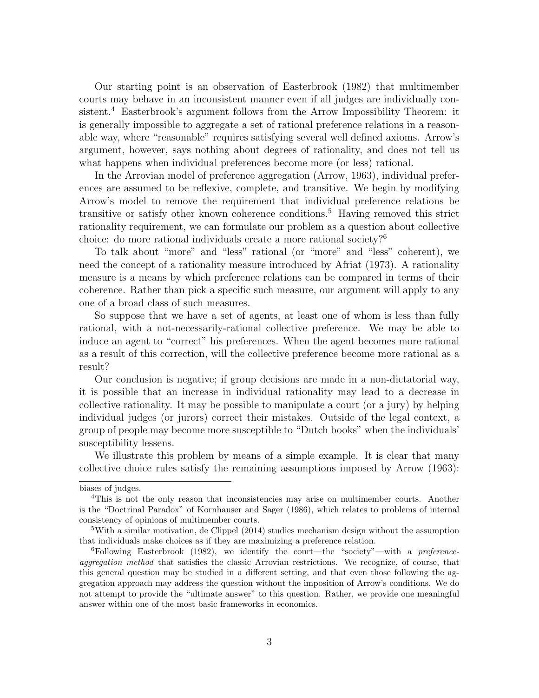Our starting point is an observation of Easterbrook (1982) that multimember courts may behave in an inconsistent manner even if all judges are individually consistent.<sup>4</sup> Easterbrook's argument follows from the Arrow Impossibility Theorem: it is generally impossible to aggregate a set of rational preference relations in a reasonable way, where "reasonable" requires satisfying several well defined axioms. Arrow's argument, however, says nothing about degrees of rationality, and does not tell us what happens when individual preferences become more (or less) rational.

In the Arrovian model of preference aggregation (Arrow, 1963), individual preferences are assumed to be reflexive, complete, and transitive. We begin by modifying Arrow's model to remove the requirement that individual preference relations be transitive or satisfy other known coherence conditions.<sup>5</sup> Having removed this strict rationality requirement, we can formulate our problem as a question about collective choice: do more rational individuals create a more rational society?<sup>6</sup>

To talk about "more" and "less" rational (or "more" and "less" coherent), we need the concept of a rationality measure introduced by Afriat (1973). A rationality measure is a means by which preference relations can be compared in terms of their coherence. Rather than pick a specific such measure, our argument will apply to any one of a broad class of such measures.

So suppose that we have a set of agents, at least one of whom is less than fully rational, with a not-necessarily-rational collective preference. We may be able to induce an agent to "correct" his preferences. When the agent becomes more rational as a result of this correction, will the collective preference become more rational as a result?

Our conclusion is negative; if group decisions are made in a non-dictatorial way, it is possible that an increase in individual rationality may lead to a decrease in collective rationality. It may be possible to manipulate a court (or a jury) by helping individual judges (or jurors) correct their mistakes. Outside of the legal context, a group of people may become more susceptible to "Dutch books" when the individuals' susceptibility lessens.

We illustrate this problem by means of a simple example. It is clear that many collective choice rules satisfy the remaining assumptions imposed by Arrow (1963):

biases of judges.

<sup>4</sup>This is not the only reason that inconsistencies may arise on multimember courts. Another is the "Doctrinal Paradox" of Kornhauser and Sager (1986), which relates to problems of internal consistency of opinions of multimember courts.

<sup>&</sup>lt;sup>5</sup>With a similar motivation, de Clippel  $(2014)$  studies mechanism design without the assumption that individuals make choices as if they are maximizing a preference relation.

 ${}^{6}$ Following Easterbrook (1982), we identify the court—the "society"—with a preferenceaggregation method that satisfies the classic Arrovian restrictions. We recognize, of course, that this general question may be studied in a different setting, and that even those following the aggregation approach may address the question without the imposition of Arrow's conditions. We do not attempt to provide the "ultimate answer" to this question. Rather, we provide one meaningful answer within one of the most basic frameworks in economics.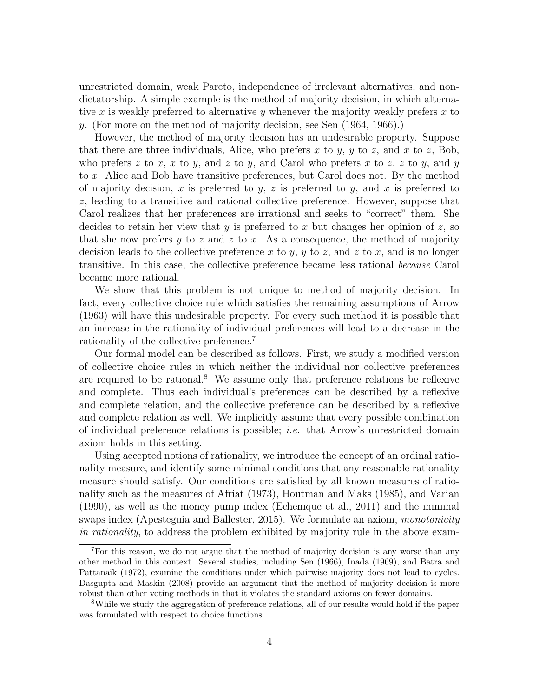unrestricted domain, weak Pareto, independence of irrelevant alternatives, and nondictatorship. A simple example is the method of majority decision, in which alternative x is weakly preferred to alternative y whenever the majority weakly prefers x to y. (For more on the method of majority decision, see Sen (1964, 1966).)

However, the method of majority decision has an undesirable property. Suppose that there are three individuals, Alice, who prefers x to y, y to z, and x to z, Bob, who prefers z to x, x to y, and z to y, and Carol who prefers x to z, z to y, and y to x. Alice and Bob have transitive preferences, but Carol does not. By the method of majority decision, x is preferred to y, z is preferred to y, and x is preferred to z, leading to a transitive and rational collective preference. However, suppose that Carol realizes that her preferences are irrational and seeks to "correct" them. She decides to retain her view that y is preferred to x but changes her opinion of z, so that she now prefers y to z and z to x. As a consequence, the method of majority decision leads to the collective preference x to y, y to z, and z to x, and is no longer transitive. In this case, the collective preference became less rational because Carol became more rational.

We show that this problem is not unique to method of majority decision. In fact, every collective choice rule which satisfies the remaining assumptions of Arrow (1963) will have this undesirable property. For every such method it is possible that an increase in the rationality of individual preferences will lead to a decrease in the rationality of the collective preference.<sup>7</sup>

Our formal model can be described as follows. First, we study a modified version of collective choice rules in which neither the individual nor collective preferences are required to be rational.<sup>8</sup> We assume only that preference relations be reflexive and complete. Thus each individual's preferences can be described by a reflexive and complete relation, and the collective preference can be described by a reflexive and complete relation as well. We implicitly assume that every possible combination of individual preference relations is possible; i.e. that Arrow's unrestricted domain axiom holds in this setting.

Using accepted notions of rationality, we introduce the concept of an ordinal rationality measure, and identify some minimal conditions that any reasonable rationality measure should satisfy. Our conditions are satisfied by all known measures of rationality such as the measures of Afriat (1973), Houtman and Maks (1985), and Varian (1990), as well as the money pump index (Echenique et al., 2011) and the minimal swaps index (Apesteguia and Ballester, 2015). We formulate an axiom, *monotonicity* in rationality, to address the problem exhibited by majority rule in the above exam-

<sup>7</sup>For this reason, we do not argue that the method of majority decision is any worse than any other method in this context. Several studies, including Sen (1966), Inada (1969), and Batra and Pattanaik (1972), examine the conditions under which pairwise majority does not lead to cycles. Dasgupta and Maskin (2008) provide an argument that the method of majority decision is more robust than other voting methods in that it violates the standard axioms on fewer domains.

<sup>8</sup>While we study the aggregation of preference relations, all of our results would hold if the paper was formulated with respect to choice functions.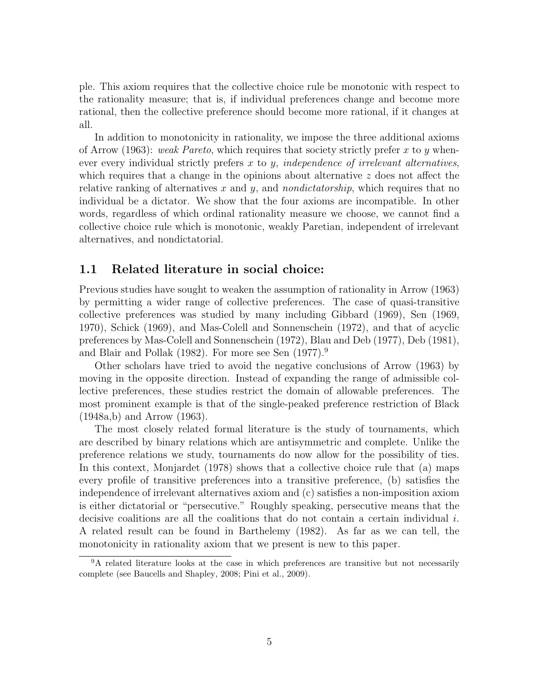ple. This axiom requires that the collective choice rule be monotonic with respect to the rationality measure; that is, if individual preferences change and become more rational, then the collective preference should become more rational, if it changes at all.

In addition to monotonicity in rationality, we impose the three additional axioms of Arrow (1963): weak Pareto, which requires that society strictly prefer x to y whenever every individual strictly prefers  $x$  to  $y$ , independence of irrelevant alternatives, which requires that a change in the opinions about alternative  $z$  does not affect the relative ranking of alternatives  $x$  and  $y$ , and *nondictatorship*, which requires that no individual be a dictator. We show that the four axioms are incompatible. In other words, regardless of which ordinal rationality measure we choose, we cannot find a collective choice rule which is monotonic, weakly Paretian, independent of irrelevant alternatives, and nondictatorial.

#### 1.1 Related literature in social choice:

Previous studies have sought to weaken the assumption of rationality in Arrow (1963) by permitting a wider range of collective preferences. The case of quasi-transitive collective preferences was studied by many including Gibbard (1969), Sen (1969, 1970), Schick (1969), and Mas-Colell and Sonnenschein (1972), and that of acyclic preferences by Mas-Colell and Sonnenschein (1972), Blau and Deb (1977), Deb (1981), and Blair and Pollak (1982). For more see Sen (1977).<sup>9</sup>

Other scholars have tried to avoid the negative conclusions of Arrow (1963) by moving in the opposite direction. Instead of expanding the range of admissible collective preferences, these studies restrict the domain of allowable preferences. The most prominent example is that of the single-peaked preference restriction of Black (1948a,b) and Arrow (1963).

The most closely related formal literature is the study of tournaments, which are described by binary relations which are antisymmetric and complete. Unlike the preference relations we study, tournaments do now allow for the possibility of ties. In this context, Monjardet (1978) shows that a collective choice rule that (a) maps every profile of transitive preferences into a transitive preference, (b) satisfies the independence of irrelevant alternatives axiom and (c) satisfies a non-imposition axiom is either dictatorial or "persecutive." Roughly speaking, persecutive means that the decisive coalitions are all the coalitions that do not contain a certain individual i. A related result can be found in Barthelemy (1982). As far as we can tell, the monotonicity in rationality axiom that we present is new to this paper.

<sup>&</sup>lt;sup>9</sup>A related literature looks at the case in which preferences are transitive but not necessarily complete (see Baucells and Shapley, 2008; Pini et al., 2009).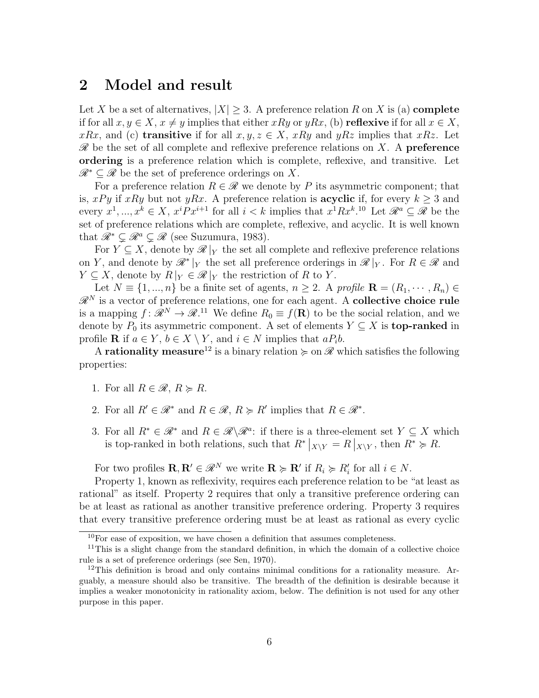### 2 Model and result

Let X be a set of alternatives,  $|X| \geq 3$ . A preference relation R on X is (a) **complete** if for all  $x, y \in X$ ,  $x \neq y$  implies that either xRy or yRx, (b) reflexive if for all  $x \in X$ , xRx, and (c) **transitive** if for all  $x, y, z \in X$ , xRy and yRz implies that xRz. Let  $\mathscr R$  be the set of all complete and reflexive preference relations on X. A **preference** ordering is a preference relation which is complete, reflexive, and transitive. Let  $\mathscr{R}^* \subset \mathscr{R}$  be the set of preference orderings on X.

For a preference relation  $R \in \mathcal{R}$  we denote by P its asymmetric component; that is, xPy if xRy but not yRx. A preference relation is **acyclic** if, for every  $k > 3$  and every  $x^1, ..., x^k \in X$ ,  $x^i P x^{i+1}$  for all  $i < k$  implies that  $x^1 R x^{k}$ .<sup>10</sup> Let  $\mathcal{R}^a \subseteq \mathcal{R}$  be the set of preference relations which are complete, reflexive, and acyclic. It is well known that  $\mathscr{R}^* \subsetneq \mathscr{R}^a \subsetneq \mathscr{R}$  (see Suzumura, 1983).

For  $Y \subseteq X$ , denote by  $\mathscr{R}|_Y$  the set all complete and reflexive preference relations on Y, and denote by  $\mathscr{R}^*|_Y$  the set all preference orderings in  $\mathscr{R}|_Y$ . For  $R \in \mathscr{R}$  and  $Y \subseteq X$ , denote by  $R|_Y \in \mathscr{R}|_Y$  the restriction of R to Y.

Let  $N \equiv \{1, ..., n\}$  be a finite set of agents,  $n \geq 2$ . A profile  $\mathbf{R} = (R_1, \dots, R_n) \in$  $\mathscr{R}^N$  is a vector of preference relations, one for each agent. A **collective choice rule** is a mapping  $f: \mathscr{R}^N \to \mathscr{R}^{11}$  We define  $R_0 \equiv f(\mathbf{R})$  to be the social relation, and we denote by  $P_0$  its asymmetric component. A set of elements  $Y \subseteq X$  is **top-ranked** in profile **R** if  $a \in Y$ ,  $b \in X \setminus Y$ , and  $i \in N$  implies that  $aP_i b$ .

A **rationality measure**<sup>12</sup> is a binary relation  $\succcurlyeq$  on  $\mathscr R$  which satisfies the following properties:

- 1. For all  $R \in \mathcal{R}, R \succcurlyeq R$ .
- 2. For all  $R' \in \mathcal{R}^*$  and  $R \in \mathcal{R}$ ,  $R \succcurlyeq R'$  implies that  $R \in \mathcal{R}^*$ .
- 3. For all  $R^* \in \mathcal{R}^*$  and  $R \in \mathcal{R} \backslash \mathcal{R}^a$ : if there is a three-element set  $Y \subseteq X$  which is top-ranked in both relations, such that  $R^*|_{X\setminus Y} = R|_{X\setminus Y}$ , then  $R^* \succcurlyeq R$ .

For two profiles  $\mathbf{R}, \mathbf{R}' \in \mathcal{R}^N$  we write  $\mathbf{R} \succcurlyeq \mathbf{R}'$  if  $R_i \succcurlyeq R'_i$  for all  $i \in N$ .

Property 1, known as reflexivity, requires each preference relation to be "at least as rational" as itself. Property 2 requires that only a transitive preference ordering can be at least as rational as another transitive preference ordering. Property 3 requires that every transitive preference ordering must be at least as rational as every cyclic

 $10$ For ease of exposition, we have chosen a definition that assumes completeness.

<sup>&</sup>lt;sup>11</sup>This is a slight change from the standard definition, in which the domain of a collective choice rule is a set of preference orderings (see Sen, 1970).

<sup>&</sup>lt;sup>12</sup>This definition is broad and only contains minimal conditions for a rationality measure. Arguably, a measure should also be transitive. The breadth of the definition is desirable because it implies a weaker monotonicity in rationality axiom, below. The definition is not used for any other purpose in this paper.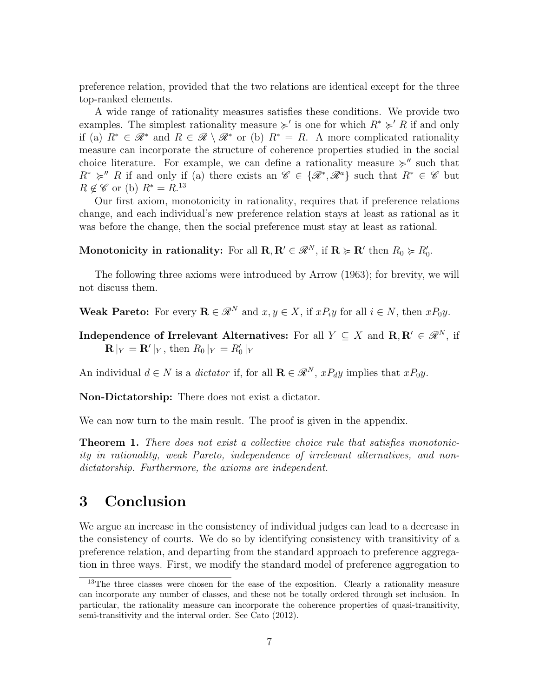preference relation, provided that the two relations are identical except for the three top-ranked elements.

A wide range of rationality measures satisfies these conditions. We provide two examples. The simplest rationality measure  $\succcurlyeq'$  is one for which  $R^* \succcurlyeq' R$  if and only if (a)  $R^* \in \mathcal{R}^*$  and  $R \in \mathcal{R} \setminus \mathcal{R}^*$  or (b)  $R^* = R$ . A more complicated rationality measure can incorporate the structure of coherence properties studied in the social choice literature. For example, we can define a rationality measure  $\succcurlyeq'$  such that  $R^* \succcurlyeq'' R$  if and only if (a) there exists an  $\mathscr{C} \in {\{\mathscr{R}^*, \mathscr{R}^a\}}$  such that  $R^* \in \mathscr{C}$  but  $R \notin \mathscr{C}$  or (b)  $R^* = R^{.13}$ 

Our first axiom, monotonicity in rationality, requires that if preference relations change, and each individual's new preference relation stays at least as rational as it was before the change, then the social preference must stay at least as rational.

Monotonicity in rationality: For all  $\mathbf{R}, \mathbf{R}' \in \mathcal{R}^N$ , if  $\mathbf{R} \succcurlyeq \mathbf{R}'$  then  $R_0 \succcurlyeq R'_0$ .

The following three axioms were introduced by Arrow (1963); for brevity, we will not discuss them.

Weak Pareto: For every  $\mathbf{R} \in \mathcal{R}^N$  and  $x, y \in X$ , if  $xP_iy$  for all  $i \in N$ , then  $xP_0y$ .

Independence of Irrelevant Alternatives: For all  $Y \subseteq X$  and  $\mathbf{R}, \mathbf{R}' \in \mathcal{R}^N$ , if  $\mathbf{R}|_Y = \mathbf{R}'|_Y$ , then  $R_0|_Y = R'_0|_Y$ 

An individual  $d \in N$  is a *dictator* if, for all  $\mathbf{R} \in \mathcal{R}^N$ ,  $xP_d y$  implies that  $xP_0 y$ .

Non-Dictatorship: There does not exist a dictator.

We can now turn to the main result. The proof is given in the appendix.

**Theorem 1.** There does not exist a collective choice rule that satisfies monotonicity in rationality, weak Pareto, independence of irrelevant alternatives, and nondictatorship. Furthermore, the axioms are independent.

## 3 Conclusion

We argue an increase in the consistency of individual judges can lead to a decrease in the consistency of courts. We do so by identifying consistency with transitivity of a preference relation, and departing from the standard approach to preference aggregation in three ways. First, we modify the standard model of preference aggregation to

<sup>&</sup>lt;sup>13</sup>The three classes were chosen for the ease of the exposition. Clearly a rationality measure can incorporate any number of classes, and these not be totally ordered through set inclusion. In particular, the rationality measure can incorporate the coherence properties of quasi-transitivity, semi-transitivity and the interval order. See Cato (2012).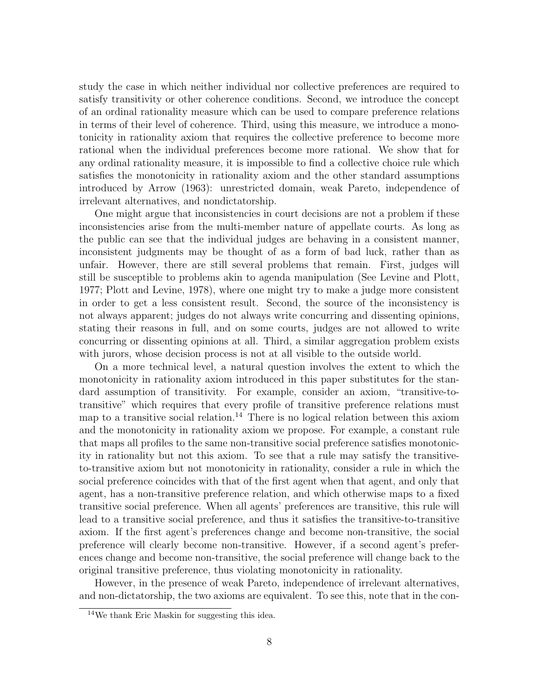study the case in which neither individual nor collective preferences are required to satisfy transitivity or other coherence conditions. Second, we introduce the concept of an ordinal rationality measure which can be used to compare preference relations in terms of their level of coherence. Third, using this measure, we introduce a monotonicity in rationality axiom that requires the collective preference to become more rational when the individual preferences become more rational. We show that for any ordinal rationality measure, it is impossible to find a collective choice rule which satisfies the monotonicity in rationality axiom and the other standard assumptions introduced by Arrow (1963): unrestricted domain, weak Pareto, independence of irrelevant alternatives, and nondictatorship.

One might argue that inconsistencies in court decisions are not a problem if these inconsistencies arise from the multi-member nature of appellate courts. As long as the public can see that the individual judges are behaving in a consistent manner, inconsistent judgments may be thought of as a form of bad luck, rather than as unfair. However, there are still several problems that remain. First, judges will still be susceptible to problems akin to agenda manipulation (See Levine and Plott, 1977; Plott and Levine, 1978), where one might try to make a judge more consistent in order to get a less consistent result. Second, the source of the inconsistency is not always apparent; judges do not always write concurring and dissenting opinions, stating their reasons in full, and on some courts, judges are not allowed to write concurring or dissenting opinions at all. Third, a similar aggregation problem exists with jurors, whose decision process is not at all visible to the outside world.

On a more technical level, a natural question involves the extent to which the monotonicity in rationality axiom introduced in this paper substitutes for the standard assumption of transitivity. For example, consider an axiom, "transitive-totransitive" which requires that every profile of transitive preference relations must map to a transitive social relation.<sup>14</sup> There is no logical relation between this axiom and the monotonicity in rationality axiom we propose. For example, a constant rule that maps all profiles to the same non-transitive social preference satisfies monotonicity in rationality but not this axiom. To see that a rule may satisfy the transitiveto-transitive axiom but not monotonicity in rationality, consider a rule in which the social preference coincides with that of the first agent when that agent, and only that agent, has a non-transitive preference relation, and which otherwise maps to a fixed transitive social preference. When all agents' preferences are transitive, this rule will lead to a transitive social preference, and thus it satisfies the transitive-to-transitive axiom. If the first agent's preferences change and become non-transitive, the social preference will clearly become non-transitive. However, if a second agent's preferences change and become non-transitive, the social preference will change back to the original transitive preference, thus violating monotonicity in rationality.

However, in the presence of weak Pareto, independence of irrelevant alternatives, and non-dictatorship, the two axioms are equivalent. To see this, note that in the con-

 $14\text{We}$  thank Eric Maskin for suggesting this idea.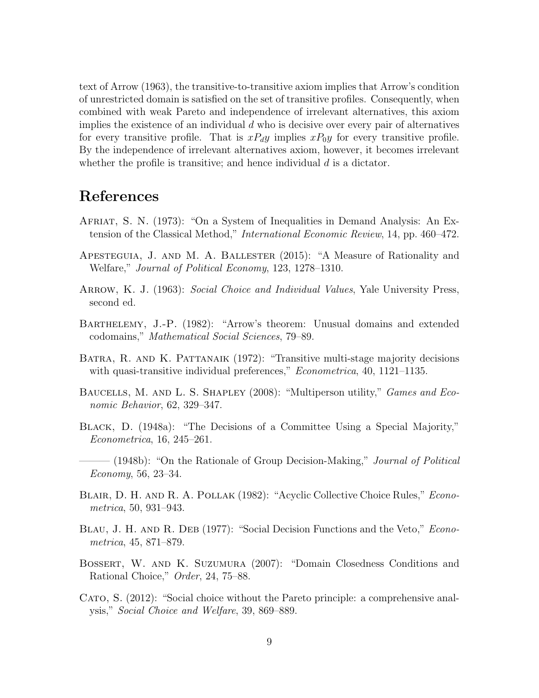text of Arrow (1963), the transitive-to-transitive axiom implies that Arrow's condition of unrestricted domain is satisfied on the set of transitive profiles. Consequently, when combined with weak Pareto and independence of irrelevant alternatives, this axiom implies the existence of an individual  $d$  who is decisive over every pair of alternatives for every transitive profile. That is  $xP_dy$  implies  $xP_0y$  for every transitive profile. By the independence of irrelevant alternatives axiom, however, it becomes irrelevant whether the profile is transitive; and hence individual  $d$  is a dictator.

# References

- Afriat, S. N. (1973): "On a System of Inequalities in Demand Analysis: An Extension of the Classical Method," International Economic Review, 14, pp. 460–472.
- Apesteguia, J. and M. A. Ballester (2015): "A Measure of Rationality and Welfare," Journal of Political Economy, 123, 1278–1310.
- ARROW, K. J. (1963): Social Choice and Individual Values, Yale University Press, second ed.
- Barthelemy, J.-P. (1982): "Arrow's theorem: Unusual domains and extended codomains," Mathematical Social Sciences, 79–89.
- BATRA, R. AND K. PATTANAIK (1972): "Transitive multi-stage majority decisions with quasi-transitive individual preferences," *Econometrica*, 40, 1121–1135.
- BAUCELLS, M. AND L. S. SHAPLEY (2008): "Multiperson utility," *Games and Eco*nomic Behavior, 62, 329–347.
- Black, D. (1948a): "The Decisions of a Committee Using a Special Majority," Econometrica, 16, 245–261.
- $-$  (1948b): "On the Rationale of Group Decision-Making," *Journal of Political* Economy, 56, 23–34.
- BLAIR, D. H. AND R. A. POLLAK (1982): "Acyclic Collective Choice Rules," *Econo*metrica, 50, 931–943.
- BLAU, J. H. AND R. DEB (1977): "Social Decision Functions and the Veto," *Econo*metrica, 45, 871–879.
- Bossert, W. and K. Suzumura (2007): "Domain Closedness Conditions and Rational Choice," Order, 24, 75–88.
- CATO, S. (2012): "Social choice without the Pareto principle: a comprehensive analysis," Social Choice and Welfare, 39, 869–889.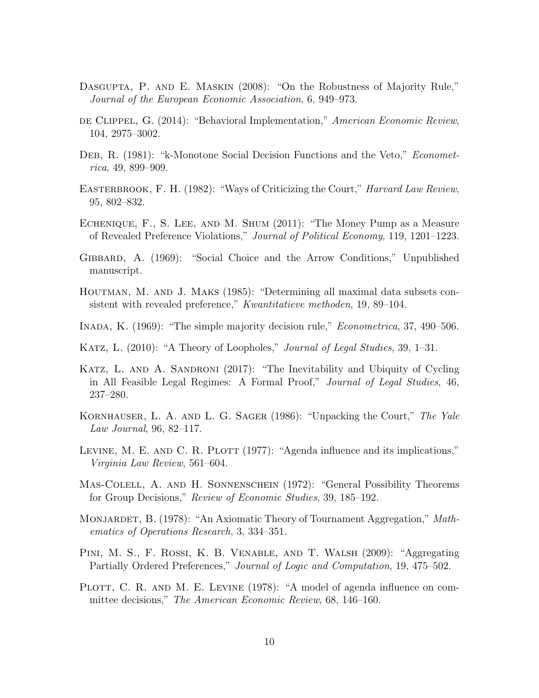- DASGUPTA, P. AND E. MASKIN (2008): "On the Robustness of Majority Rule," Journal of the European Economic Association, 6, 949–973.
- DE CLIPPEL, G. (2014): "Behavioral Implementation," American Economic Review, 104, 2975–3002.
- DEB, R. (1981): "k-Monotone Social Decision Functions and the Veto," *Economet*rica, 49, 899–909.
- EASTERBROOK, F. H. (1982): "Ways of Criticizing the Court," Harvard Law Review, 95, 802–832.
- Echenique, F., S. Lee, and M. Shum (2011): "The Money Pump as a Measure of Revealed Preference Violations," Journal of Political Economy, 119, 1201–1223.
- Gibbard, A. (1969): "Social Choice and the Arrow Conditions," Unpublished manuscript.
- Houtman, M. and J. Maks (1985): "Determining all maximal data subsets consistent with revealed preference," *Kwantitatieve methoden*, 19, 89–104.
- INADA, K. (1969): "The simple majority decision rule," *Econometrica*, 37, 490–506.
- KATZ, L. (2010): "A Theory of Loopholes," *Journal of Legal Studies*, 39, 1–31.
- KATZ, L. AND A. SANDRONI (2017): "The Inevitability and Ubiquity of Cycling in All Feasible Legal Regimes: A Formal Proof," Journal of Legal Studies, 46, 237–280.
- KORNHAUSER, L. A. AND L. G. SAGER (1986): "Unpacking the Court," The Yale Law Journal, 96, 82–117.
- LEVINE, M. E. AND C. R. PLOTT (1977): "Agenda influence and its implications," Virginia Law Review, 561–604.
- Mas-Colell, A. and H. Sonnenschein (1972): "General Possibility Theorems for Group Decisions," Review of Economic Studies, 39, 185–192.
- MONJARDET, B. (1978): "An Axiomatic Theory of Tournament Aggregation," Mathematics of Operations Research, 3, 334–351.
- Pini, M. S., F. Rossi, K. B. Venable, and T. Walsh (2009): "Aggregating Partially Ordered Preferences," Journal of Logic and Computation, 19, 475–502.
- PLOTT, C. R. AND M. E. LEVINE (1978): "A model of agenda influence on committee decisions," The American Economic Review, 68, 146–160.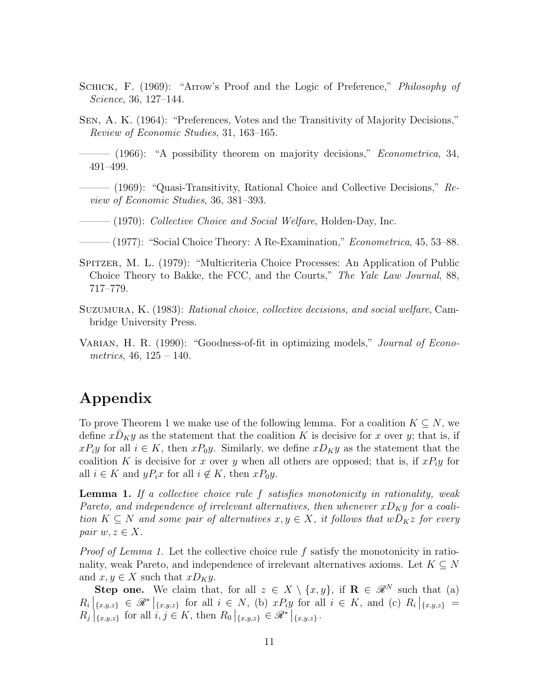- SCHICK, F. (1969): "Arrow's Proof and the Logic of Preference," Philosophy of Science, 36, 127–144.
- Sen, A. K. (1964): "Preferences, Votes and the Transitivity of Majority Decisions," Review of Economic Studies, 31, 163–165.
- (1966): "A possibility theorem on majority decisions," *Econometrica*, 34, 491–499.
- $-$  (1969): "Quasi-Transitivity, Rational Choice and Collective Decisions,"  $Re$ view of Economic Studies, 36, 381–393.
- $-(1970)$ : Collective Choice and Social Welfare, Holden-Day, Inc.
- $-$  (1977): "Social Choice Theory: A Re-Examination," *Econometrica*, 45, 53–88.
- Spitzer, M. L. (1979): "Multicriteria Choice Processes: An Application of Public Choice Theory to Bakke, the FCC, and the Courts," The Yale Law Journal, 88, 717–779.
- Suzumura, K. (1983): Rational choice, collective decisions, and social welfare, Cambridge University Press.
- VARIAN, H. R. (1990): "Goodness-of-fit in optimizing models," *Journal of Econo*metrics,  $46, 125 - 140$ .

# Appendix

To prove Theorem 1 we make use of the following lemma. For a coalition  $K \subseteq N$ , we define  $x\overline{D}_K y$  as the statement that the coalition K is decisive for x over y; that is, if  $xP_iy$  for all  $i \in K$ , then  $xP_0y$ . Similarly, we define  $xD_Ky$  as the statement that the coalition K is decisive for x over y when all others are opposed; that is, if  $xP_iy$  for all  $i \in K$  and  $yP_ix$  for all  $i \notin K$ , then  $xP_0y$ .

**Lemma 1.** If a collective choice rule  $f$  satisfies monotonicity in rationality, weak Pareto, and independence of irrelevant alternatives, then whenever  $xD_Ky$  for a coalition  $K \subseteq N$  and some pair of alternatives  $x, y \in X$ , it follows that  $wD_Kz$  for every pair  $w, z \in X$ .

*Proof of Lemma 1.* Let the collective choice rule  $f$  satisfy the monotonicity in rationality, weak Pareto, and independence of irrelevant alternatives axioms. Let  $K \subseteq N$ and  $x, y \in X$  such that  $xD_Ky$ .

Step one. We claim that, for all  $z \in X \setminus \{x, y\}$ , if  $\mathbf{R} \in \mathcal{R}^N$  such that (a)  $R_i\Big|_{\{x,y,z\}} \in \mathscr{R}^* \Big|_{\{x,y,z\}}$  for all  $i \in N$ , (b)  $xP_iy$  for all  $i \in K$ , and (c)  $R_i\Big|_{\{x,y,z\}} =$  $R_j |_{\{x,y,z\}}$  for all  $i, j \in K$ , then  $R_0 |_{\{x,y,z\}} \in \mathcal{R}^* |_{\{x,y,z\}}$ .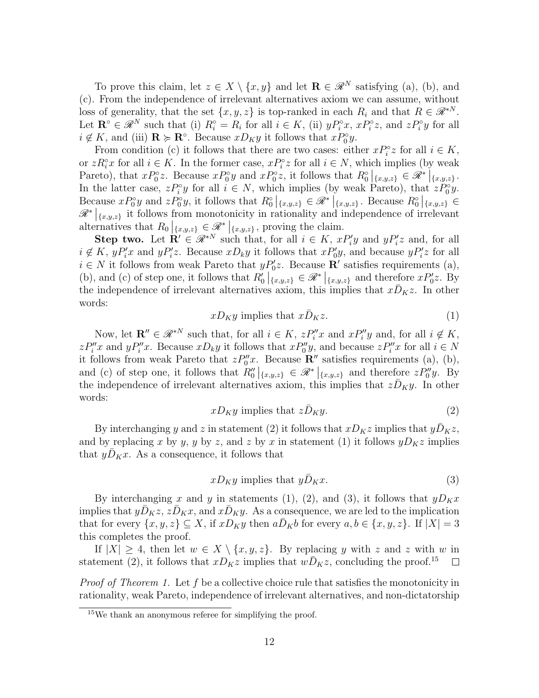To prove this claim, let  $z \in X \setminus \{x, y\}$  and let  $\mathbf{R} \in \mathcal{R}^N$  satisfying (a), (b), and (c). From the independence of irrelevant alternatives axiom we can assume, without loss of generality, that the set  $\{x, y, z\}$  is top-ranked in each  $R_i$  and that  $R \in \mathcal{R}^{*N}$ . Let  $\mathbf{R}^{\circ} \in \mathcal{R}^{N}$  such that (i)  $R_i^{\circ} = R_i$  for all  $i \in K$ , (ii)  $yP_i^{\circ}x$ ,  $xP_i^{\circ}z$ , and  $zP_i^{\circ}y$  for all  $i \notin K$ , and (iii)  $\mathbf{R} \succcurlyeq \mathbf{R}^\circ$ . Because  $xD_Ky$  it follows that  $xP_0^\circ y$ .

From condition (c) it follows that there are two cases: either  $xP_i^{\circ}z$  for all  $i \in K$ , or  $zR_i^{\circ}x$  for all  $i \in K$ . In the former case,  $xP_i^{\circ}z$  for all  $i \in N$ , which implies (by weak Pareto), that  $xP_0^{\circ}z$ . Because  $xP_0^{\circ}y$  and  $xP_0^{\circ}z$ , it follows that  $R_0^{\circ}|_{\{x,y,z\}} \in \mathcal{R}^*|_{\{x,y,z\}}$ . In the latter case,  $zP_i^{\circ}y$  for all  $i \in N$ , which implies (by weak Pareto), that  $zP_0^{\circ}y$ . Because  $xP_0^{\circ}y$  and  $zP_0^{\circ}y$ , it follows that  $R_0^{\circ}|_{\{x,y,z\}} \in \mathcal{R}^*|_{\{x,y,z\}}$ . Because  $R_0^{\circ}|_{\{x,y,z\}} \in \mathcal{R}^*|_{\{x,y,z\}}$  $\mathscr{R}^*|_{\{x,y,z\}}$  it follows from monotonicity in rationality and independence of irrelevant alternatives that  $R_0|_{\{x,y,z\}} \in \mathcal{R}^*|_{\{x,y,z\}}$ , proving the claim.

**Step two.** Let  $\mathbf{R}' \in \mathcal{R}^{*N}$  such that, for all  $i \in K$ ,  $xP_i'y$  and  $yP_i'z$  and, for all  $i \notin K$ ,  $yP'_i x$  and  $yP'_i z$ . Because  $xD_k y$  it follows that  $xP'_0y$ , and because  $yP'_i z$  for all  $i \in N$  it follows from weak Pareto that  $yP'_0z$ . Because **R'** satisfies requirements (a), (b), and (c) of step one, it follows that  $R'_0 |_{\{x,y,z\}} \in \mathcal{R}^* |_{\{x,y,z\}}$  and therefore  $xP'_0z$ . By the independence of irrelevant alternatives axiom, this implies that  $x\bar{D}_Kz$ . In other words:

$$
xD_Ky \text{ implies that } x\bar{D}_Kz. \tag{1}
$$

Now, let  $\mathbf{R}'' \in \mathscr{R}^{*N}$  such that, for all  $i \in K$ ,  $zP''_i x$  and  $xP''_i y$  and, for all  $i \notin K$ ,  $zP''_ix$  and  $yP''_ix$ . Because  $xD_ky$  it follows that  $xP''_0y$ , and because  $zP''_ix$  for all  $i \in N$ it follows from weak Pareto that  $zP''_0x$ . Because  $\mathbb{R}''$  satisfies requirements (a), (b), and (c) of step one, it follows that  $R''_0|_{\{x,y,z\}} \in \mathcal{R}^*|_{\{x,y,z\}}$  and therefore  $zP''_0y$ . By the independence of irrelevant alternatives axiom, this implies that  $zD_Ky$ . In other words:

$$
xD_Ky \text{ implies that } z\bar{D}_Ky. \tag{2}
$$

By interchanging y and z in statement (2) it follows that  $xD_Kz$  implies that  $y\overline{D}_Kz$ , and by replacing x by y, y by z, and z by x in statement (1) it follows  $yD_Kz$  implies that  $yD_Kx$ . As a consequence, it follows that

$$
xD_Ky \text{ implies that } y\bar{D}_Kx. \tag{3}
$$

By interchanging x and y in statements (1), (2), and (3), it follows that  $yD_Kx$ implies that  $y\bar{D}_Kz$ ,  $z\bar{D}_Kx$ , and  $x\bar{D}_Ky$ . As a consequence, we are led to the implication that for every  $\{x, y, z\} \subseteq X$ , if  $xD_Ky$  then  $a\overline{D}_Kb$  for every  $a, b \in \{x, y, z\}$ . If  $|X| = 3$ this completes the proof.

If  $|X| \geq 4$ , then let  $w \in X \setminus \{x, y, z\}$ . By replacing y with z and z with w in statement (2), it follows that  $xD_Kz$  implies that  $wD_Kz$ , concluding the proof.<sup>15</sup>  $\Box$ 

Proof of Theorem 1. Let f be a collective choice rule that satisfies the monotonicity in rationality, weak Pareto, independence of irrelevant alternatives, and non-dictatorship

<sup>15</sup>We thank an anonymous referee for simplifying the proof.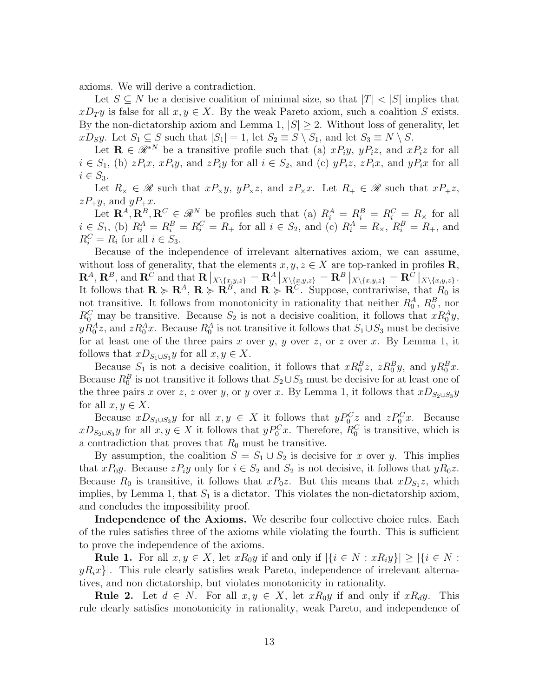axioms. We will derive a contradiction.

Let  $S \subseteq N$  be a decisive coalition of minimal size, so that  $|T| < |S|$  implies that  $xD_{T}y$  is false for all  $x, y \in X$ . By the weak Pareto axiom, such a coalition S exists. By the non-dictatorship axiom and Lemma 1,  $|S| \geq 2$ . Without loss of generality, let  $xD_Sy$ . Let  $S_1 \subseteq S$  such that  $|S_1| = 1$ , let  $S_2 \equiv S \setminus S_1$ , and let  $S_3 \equiv N \setminus S$ .

Let  $\mathbf{R} \in \mathscr{R}^{*N}$  be a transitive profile such that (a)  $xP_iy$ ,  $yP_iz$ , and  $xP_iz$  for all  $i \in S_1$ , (b)  $zP_ix$ ,  $xP_iy$ , and  $zP_iy$  for all  $i \in S_2$ , and (c)  $yP_iz$ ,  $zP_ix$ , and  $yP_ix$  for all  $i \in S_3$ .

Let  $R_{\times} \in \mathscr{R}$  such that  $xP_{\times}y$ ,  $yP_{\times}z$ , and  $zP_{\times}x$ . Let  $R_{+} \in \mathscr{R}$  such that  $xP_{+}z$ ,  $zP_+y$ , and  $yP_+x$ .

Let  $\mathbf{R}^A, \mathbf{R}^B, \mathbf{R}^C \in \mathcal{R}^N$  be profiles such that (a)  $R_i^A = R_i^B = R_i^C = R_\times$  for all  $i \in S_1$ , (b)  $R_i^A = R_i^B = R_i^C = R_+$  for all  $i \in S_2$ , and (c)  $R_i^A = R_\times$ ,  $R_i^B = R_+$ , and  $R_i^C = R_i$  for all  $i \in S_3$ .

Because of the independence of irrelevant alternatives axiom, we can assume, without loss of generality, that the elements  $x, y, z \in X$  are top-ranked in profiles **R**,  $\mathbf{R}^A,\, \mathbf{R}^B,\, \text{and}\ \mathbf{R}^C \text{ and that } \mathbf{R}\left|_{X\setminus\{x,y,z\}}= \mathbf{R}^A\left|_{X\setminus\{x,y,z\}}\right. =\mathbf{R}^B\left|_{X\setminus\{x,y,z\}}\right. =\mathbf{R}^C\left|_{X\setminus\{x,y,z\}}\right. .$ It follows that  $\mathbf{R} \succcurlyeq \mathbf{R}^A$ ,  $\mathbf{R} \succcurlyeq \mathbf{R}^B$ , and  $\mathbf{R} \succcurlyeq \mathbf{R}^C$ . Suppose, contrariwise, that  $R_0$  is not transitive. It follows from monotonicity in rationality that neither  $R_0^A$ ,  $R_0^B$ , nor  $R_0^C$  may be transitive. Because  $S_2$  is not a decisive coalition, it follows that  $xR_0^Ay$ ,  $yR_0^Az$ , and  $zR_0^Ax$ . Because  $R_0^A$  is not transitive it follows that  $S_1\cup S_3$  must be decisive for at least one of the three pairs x over y, y over z, or z over x. By Lemma 1, it follows that  $xD_{S_1\cup S_3}y$  for all  $x, y \in X$ .

Because  $S_1$  is not a decisive coalition, it follows that  $xR_0^Bz$ ,  $zR_0^By$ , and  $yR_0^Bx$ . Because  $R_0^B$  is not transitive it follows that  $S_2 \cup S_3$  must be decisive for at least one of the three pairs x over z, z over y, or y over x. By Lemma 1, it follows that  $xD_{S_2\cup S_3}y$ for all  $x, y \in X$ .

Because  $xD_{S_1\cup S_3}y$  for all  $x, y \in X$  it follows that  $yP_0^Cz$  and  $zP_0^Cx$ . Because  $xD_{S_2\cup S_3}y$  for all  $x, y \in X$  it follows that  $yP_0^Cx$ . Therefore,  $R_0^C$  is transitive, which is a contradiction that proves that  $R_0$  must be transitive.

By assumption, the coalition  $S = S_1 \cup S_2$  is decisive for x over y. This implies that  $xP_0y$ . Because  $zP_iy$  only for  $i \in S_2$  and  $S_2$  is not decisive, it follows that  $yR_0z$ . Because  $R_0$  is transitive, it follows that  $xP_0z$ . But this means that  $xD_{S_1}z$ , which implies, by Lemma 1, that  $S_1$  is a dictator. This violates the non-dictatorship axiom, and concludes the impossibility proof.

Independence of the Axioms. We describe four collective choice rules. Each of the rules satisfies three of the axioms while violating the fourth. This is sufficient to prove the independence of the axioms.

**Rule 1.** For all  $x, y \in X$ , let  $xR_0y$  if and only if  $|\{i \in N : xR_iy\}| \geq |\{i \in N : xR_iy\}|$  $yR_ix\rangle$ . This rule clearly satisfies weak Pareto, independence of irrelevant alternatives, and non dictatorship, but violates monotonicity in rationality.

**Rule 2.** Let  $d \in N$ . For all  $x, y \in X$ , let  $xR_0y$  if and only if  $xR_dy$ . This rule clearly satisfies monotonicity in rationality, weak Pareto, and independence of